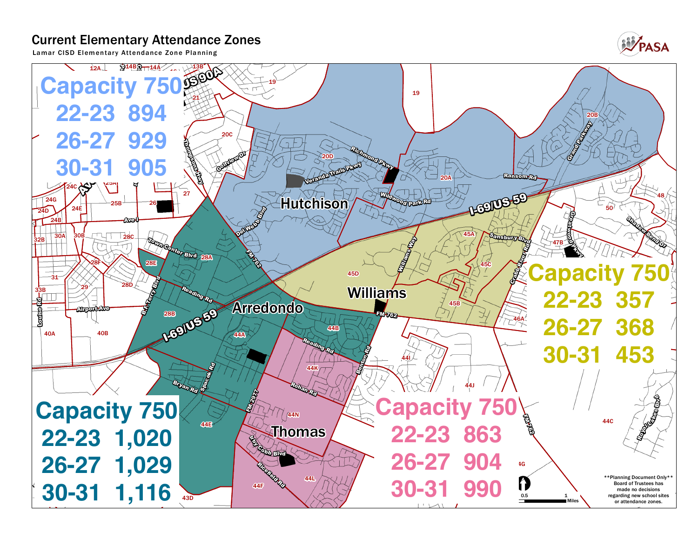## **Current Elementary Attendance Zones**

**Lamar CISD Elementar y Attendance Zone Planning**